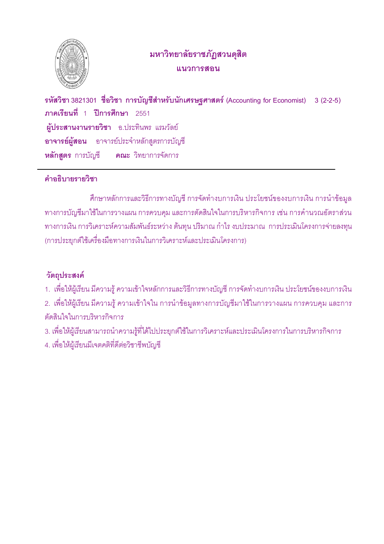

## มหาวิทยาลัยราชภัฏสวนดุสิต แนวการสดน

รหัสวิชา 3821301 ชื่อวิชา การบัญชีสำหรับนักเศรษฐศาสตร์ (Accounting for Economist) 3 (2-2-5) ภาคเรียนที่ 1 ปีการศึกษา 2551 ผ้ประสานงานรายวิชา อ.ประทินพร แรมวัลย์ **อาจารย์ผู้สอน** อาจารย์ประจำหลักสูตรการบัญชี หลักสตร การบัญชี คณะ วิทยาการจัดการ

### คำคลิบายรายวิชา

้ศึกษาหลักการและวิธีการทางบัญชี การจัดทำงบการเงิน ประโยชน์ของงบการเงิน การนำข้อมูล ทางการบัญชีมาใช้ในการวางแผน การควบคม และการตัดสินใจในการบริหารกิจการ เช่น การคำนวณอัตราส่วน ทางการเงิน การวิเคราะห์ความสัมพันธ์ระหว่าง ต้นทุน ปริมาณ กำไร งบประมาณ การประเมินโครงการจ่ายลงทุน (การประยุกต์ใช้เครื่องมือทางการเงินในการวิเคราะห์และประเมินโครงการ)

## วัตถุประสงค์

- 1. เพื่อให้ผู้เรียน มีความรู้ ความเข้าใจหลักการและวิธีการทางบัญชี การจัดทำงบการเงิน ประโยชน์ของงบการเงิน
- ่ 2. เพื่อให้ผู้เรียน มีความรู้ ความเข้าใจใน การนำข้อมูลทางการบัญชีมาใช้ในการวางแผน การควบคุม และการ ตัดสินใจในการบริหารกิจการ
- ่ 3. เพื่อให้ผู้เรียนสามารถนำความรู้ที่ได้ไปประยุกต์ใช้ในการวิเคราะห์และประเมินโครงการในการบริหารกิจการ
- 4. เพื่อให้ผู้เรียนมีเจตคติที่ดีต่อวิชาชีพบัญชี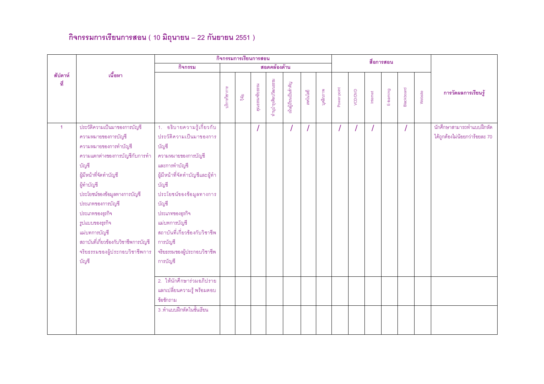# กิจกรรมการเรียนการสอน ( 10 มิถุนายน – 22 กันยายน 2551 )

|                |                                                                                                                                                                                                                                                                                                                                                                 |                                                                                                                                                                                                                                                                                                                  |               | กิจกรรมการเรียนการสอน |                 |                      |                      |           |           |             |         |          | สื่อการสอน |            |         |                                                             |
|----------------|-----------------------------------------------------------------------------------------------------------------------------------------------------------------------------------------------------------------------------------------------------------------------------------------------------------------------------------------------------------------|------------------------------------------------------------------------------------------------------------------------------------------------------------------------------------------------------------------------------------------------------------------------------------------------------------------|---------------|-----------------------|-----------------|----------------------|----------------------|-----------|-----------|-------------|---------|----------|------------|------------|---------|-------------------------------------------------------------|
|                |                                                                                                                                                                                                                                                                                                                                                                 | กิจกรรม                                                                                                                                                                                                                                                                                                          |               |                       |                 | สอดคล้องด้าน         |                      |           |           |             |         |          |            |            |         |                                                             |
| สัปดาห์<br>ที่ | เนื้อหา                                                                                                                                                                                                                                                                                                                                                         |                                                                                                                                                                                                                                                                                                                  | เริการวิชาการ | $\tilde{q}$           | คุณธรรมจริยธรรม | กำนุบำรุงศิลปวัฒนธรม | นันผู้เรียนเป็นลำคัญ | เทคโนโลยี | บุคลิกภาพ | Power point | VOD/DVD | Internet | E-learning | Blackboard | Website | การวัดผลการเรียนรู้                                         |
| $\mathbf{1}$   | ประวัติความเป็นมาของการบัญชี<br>ความหมายของการบัญชี<br>ความหมายของการทำบัญชี<br>ความแตกต่างของการบัญชีกับการทำ<br>บัญชี<br>ผู้มีหน้าที่จัดทำบัญชี<br>ผู้ทำบัญชี<br>ประโยชน์ของข้อมูลทางการบัญชี<br>ประเภทของการบัญชี<br>ประเภทของธุรกิจ<br>รูปแบบของธุรกิจ<br>แม่บทการบัญชี<br>สถาบันที่เกี่ยวข้องกับวิชาชีพการบัญชี<br>จริยธรรมของผู้ประกอบวิชาชีพการ<br>บัญชี | 1. อธิบายความรู้เกี่ยวกับ<br>ประวัติความเป็นมาของการ<br>บัญชี<br>ความหมายของการบัญชี<br>และการทำบัญชี<br>ผู้มีหน้าที่จัดทำบัญชีและผู้ทำ<br>บัญชี<br>ประโยชน์ของข้อมูลทางการ<br>บัญชี<br>ประเภทของธุรกิจ<br>แม่บทการบัญชี<br>สถาบันที่เกี่ยวข้องกับวิชาชีพ<br>การบัญชี<br>จริยธรรมของผู้ประกอบวิชาชีพ<br>การบัญชี |               |                       |                 |                      |                      |           |           |             |         |          |            |            |         | นักศึกษาสามารถทำแบบฝึกหัด<br>ได้ถูกต้องไม่น้อยกว่าร้อยละ 70 |
|                |                                                                                                                                                                                                                                                                                                                                                                 | 2. ให้นักศึกษาร่วมอภิปราย<br>แลกเปลี่ยนความรู้ พร้อมตอบ<br>ข้อซักถาม                                                                                                                                                                                                                                             |               |                       |                 |                      |                      |           |           |             |         |          |            |            |         |                                                             |
|                |                                                                                                                                                                                                                                                                                                                                                                 | 3 .ทำแบบฝึกหัดในชั้นเรียน                                                                                                                                                                                                                                                                                        |               |                       |                 |                      |                      |           |           |             |         |          |            |            |         |                                                             |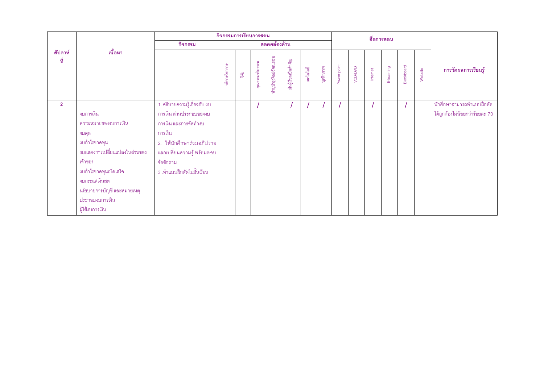|                |                                                                  |                                                                                             | กิจกรรมการเรียนการสอน |                 |                  |                      |                      |           |           |             |         |          | สื่อการสอน |            |         |                                                             |
|----------------|------------------------------------------------------------------|---------------------------------------------------------------------------------------------|-----------------------|-----------------|------------------|----------------------|----------------------|-----------|-----------|-------------|---------|----------|------------|------------|---------|-------------------------------------------------------------|
|                |                                                                  | กิจกรรม                                                                                     |                       |                 |                  | สอดคล้องด้าน         |                      |           |           |             |         |          |            |            |         |                                                             |
| สัปดาห์<br>ที่ | เนื้อหา                                                          |                                                                                             | นวิกาววิชากาว         | $\widetilde{q}$ | คุณธรรมจริย ธรรม | ทำนุบำรุงศิลปวัฒนธรม | เมนผู้เรียนเป็นลำคัญ | เทคโนโลยี | บุคลิกภาพ | Power point | VCD/DVD | Internet | E-learning | Blackboard | Website | การวัดผลการเรียนรู้                                         |
| $\overline{2}$ | งบการเงิน<br>ความหมายของงบการเงิน<br>งบดุล                       | 1. อธิบายความรู้เกี่ยวกับ งบ<br>การเงิน ส่วนประกอบของงบ<br>การเงิน และการจัดทำงบ<br>การเงิน |                       |                 |                  |                      |                      |           |           |             |         |          |            |            |         | นักศึกษาสามารถทำแบบฝึกหัด<br>ได้ถูกต้องไม่น้อยกว่าร้อยละ 70 |
|                | งบกำไรขาดทุน<br>งบแสดงการเปลี่ยนแปลงในส่วนของ<br>เจ้าของ         | 2. ให้นักศึกษาร่วมอภิปราย<br>ี แลกเปลี่ยนความรู้ พร้อมตอบ<br>ข้อซักถาม                      |                       |                 |                  |                      |                      |           |           |             |         |          |            |            |         |                                                             |
|                | งบกำไรขาดทุนเบ็ดเสร็จ<br>งบกระแสเงินสด                           | 3 .ทำแบบฝึกหัดในชั้นเรียน                                                                   |                       |                 |                  |                      |                      |           |           |             |         |          |            |            |         |                                                             |
|                | นโยบายการบัญชี และหมายเหตุ<br>ประกอบงบการเงิน<br>ผู้ใช้งบการเงิน |                                                                                             |                       |                 |                  |                      |                      |           |           |             |         |          |            |            |         |                                                             |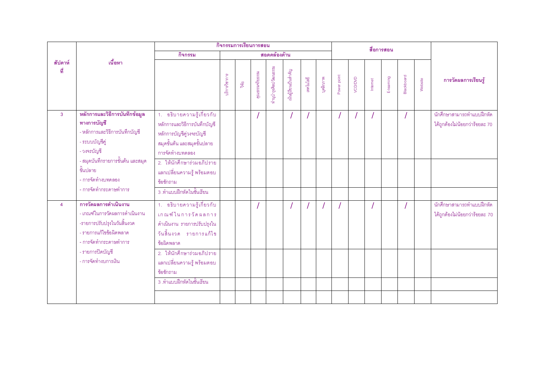|                |                                                                                                                                          | กิจกรรมการเรียนการสอน                                                                                                                   |               |               |                 |                       |                    |           |           |             |         | สื่อการสอน |            |            |         |                                                             |
|----------------|------------------------------------------------------------------------------------------------------------------------------------------|-----------------------------------------------------------------------------------------------------------------------------------------|---------------|---------------|-----------------|-----------------------|--------------------|-----------|-----------|-------------|---------|------------|------------|------------|---------|-------------------------------------------------------------|
|                |                                                                                                                                          | กิจกรรม                                                                                                                                 |               |               |                 | สอดคล้องด้าน          |                    |           |           |             |         |            |            |            |         |                                                             |
| สัปดาห์<br>ที่ | เนื้อหา                                                                                                                                  |                                                                                                                                         | เริการวิชาการ | $\frac{v}{2}$ | คุณธรรมจริยธรรม | กำนุบำรุงศิลปวัฒนธรรม | เมนูเรียนเป็นลำคัญ | เทคโนโลยี | บุคลิกภาพ | Power point | VCD/DVD | Internet   | E-learning | Blackboard | Website | การวัดผลการเรียนรู้                                         |
| $\mathbf{3}$   | หลักการและวิธีการบันทึกข้อมูล<br>ทางการบัญชี<br>- หลักการและวิธีการบันทึกบัญชี<br>- ระบบบัญชีคู่<br>- วงจรบัญชี                          | 1. อธิบายความรู้เกี่ยวกับ<br>หลักการและวิธีการบันทึกบัญชี<br>หลักการบัญชีคู่วงจรบัญชี<br>สมุดขั้นต้น และสมุดขั้นปลาย<br>การจัดทำงบทดลอง |               |               |                 |                       |                    |           |           |             |         |            |            |            |         | นักศึกษาสามารถทำแบบฝึกหัด<br>ได้ถูกต้องไม่น้อยกว่าร้อยละ 70 |
|                | - สมุดบันทึกรายการขั้นต้น และสมุด<br>ขั้นปลาย<br>- การจัดทำงบทดลอง                                                                       | 2. ให้นักศึกษาร่วมอภิปราย<br>แลกเปลี่ยนความรู้ พร้อมตอบ<br>ข้อซักถาม                                                                    |               |               |                 |                       |                    |           |           |             |         |            |            |            |         |                                                             |
|                | - การจัดทำกระดาษทำการ                                                                                                                    | 3 .ทำแบบฝึกหัดในชั้นเรียน                                                                                                               |               |               |                 |                       |                    |           |           |             |         |            |            |            |         |                                                             |
| $\overline{4}$ | การวัดผลการดำเนินงาน<br>- เกณฑ์ในการวัดผลการดำเนินงาน<br>-รายการปรับปรุงในวันสิ้นงวด<br>- รายการแก้ไขข้อผิดพลาด<br>- การจัดทำกระดาษทำการ | 1. อธิบายความรู้เกี่ยวกับ<br>เกณฑ์ในการวัดผลการ<br>ดำเนินงาน รายการปรับปรุงใน<br>วันสิ้นงวด รายการแก้ไข<br>ข้อผิดพลาด                   |               |               |                 |                       |                    |           |           |             |         |            |            |            |         | นักศึกษาสามารถทำแบบฝึกหัด<br>ได้ถูกต้องไม่น้อยกว่าร้อยละ 70 |
|                | - รายการปิดบัญชี<br>- การจัดทำงบการเงิน                                                                                                  | 2. ให้นักศึกษาร่วมอภิปราย<br>แลกเปลี่ยนความรู้ พร้อมตอบ<br>ข้อซักถาม                                                                    |               |               |                 |                       |                    |           |           |             |         |            |            |            |         |                                                             |
|                |                                                                                                                                          | 3 .ทำแบบฝึกหัดในชั้นเรียน                                                                                                               |               |               |                 |                       |                    |           |           |             |         |            |            |            |         |                                                             |
|                |                                                                                                                                          |                                                                                                                                         |               |               |                 |                       |                    |           |           |             |         |            |            |            |         |                                                             |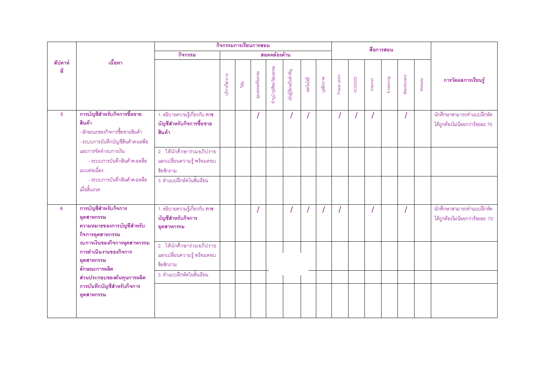|                |                                                                                                              |                                                                            |               |               | กิจกรรมการเรียนการสอน |                       |                       |           |           |             |         |          | สื่อการสอน |            |         |                                                             |
|----------------|--------------------------------------------------------------------------------------------------------------|----------------------------------------------------------------------------|---------------|---------------|-----------------------|-----------------------|-----------------------|-----------|-----------|-------------|---------|----------|------------|------------|---------|-------------------------------------------------------------|
|                |                                                                                                              | กิจกรรม                                                                    |               |               |                       | สอดคล้องด้าน          |                       |           |           |             |         |          |            |            |         |                                                             |
| สัปดาห์<br>ที่ | เนื้อหา                                                                                                      |                                                                            | เวิการวิชาการ | $\frac{5}{9}$ | คุณธรรมจริยธรรม       | กำนุบำรุงศิลปวัฒนธรรม | นั้นผู้เรียนเป็นลำคัญ | เทคโนโลยี | บุคลิกภาพ | Power point | VCD/DVD | Internet | E-learning | Blackboard | Website | การวัดผลการเรียนรู้                                         |
| $\overline{5}$ | การบัญชีสำหรับกิจการซื้อขาย<br>สินค้า<br>- ลักษณะของกิจการซื้อขายสินค้า<br>- ระบบการบันทึกบัญชีสินค้าคงเหลือ | 1. อธิบายความรู้เกี่ยวกับ <b>การ</b><br>บัญชีสำหรับกิจการซื้อขาย<br>สินค้า |               |               |                       |                       |                       |           |           |             |         |          |            |            |         | นักศึกษาสามารถทำแบบฝึกหัด<br>ได้ถูกต้องไม่น้อยกว่าร้อยละ 70 |
|                | และการจัดทำงบการเงิน<br>- ระบบการบันทึกสินค้าคงเหลือ<br>แบบต่อเนื่อง                                         | 2. ให้นักศึกษาร่วมอภิปราย<br>แลกเปลี่ยนความรู้ พร้อมตอบ<br>ข้อซักถาม       |               |               |                       |                       |                       |           |           |             |         |          |            |            |         |                                                             |
|                | - ระบบการบันทึกสินค้าคงเหลือ<br>เมื่อสิ้นงวด                                                                 | 3 .ทำแบบฝึกหัดในชั้นเรียน                                                  |               |               |                       |                       |                       |           |           |             |         |          |            |            |         |                                                             |
| 6              | การบัญชีสำหรับกิจการ<br>อุตสาหกรรม<br>ความหมายของการบัญชีสำหรับ<br>กิจการอุตสาหกรรม                          | 1. อธิบายความรู้เกี่ยวกับ <b>การ</b><br>บัญชีสำหรับกิจการ<br>อุตสาหกรรม    |               |               |                       |                       |                       |           |           |             |         |          |            |            |         | นักศึกษาสามารถทำแบบฝึกหัด<br>ได้ถูกต้องไม่น้อยกว่าร้อยละ 70 |
|                | งบการเงินของกิจการอุตสาหกรรม<br>การดำเนินงานของกิจการ<br>อุตสาหกรรม<br>ลักษณะการผลิต                         | 2. ให้นักศึกษาร่วมอภิปราย<br>แลกเปลี่ยนความรู้ พร้อมตอบ<br>ข้อซักถาม       |               |               |                       |                       |                       |           |           |             |         |          |            |            |         |                                                             |
|                | ส่วนประกอบของต้นทุนการผลิต<br>การบันทึกบัญชีสำหรับกิจการ<br>อุตสาหกรรม                                       | 3 .ทำแบบฝึกหัดในชั้นเรียน                                                  |               |               |                       |                       |                       |           |           |             |         |          |            |            |         |                                                             |
|                |                                                                                                              |                                                                            |               |               |                       |                       |                       |           |           |             |         |          |            |            |         |                                                             |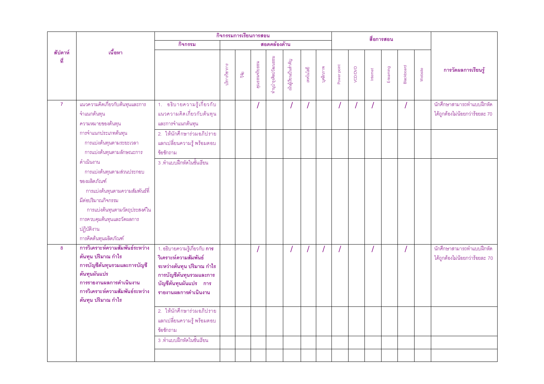|                |                                                                                                                                                                                                                         |                                                                                                                                                                        |               |               | กิจกรรมการเรียนการสอน |                      |                      |                |           |             |         |          | สื่อการสอน |                   |         |                                                             |
|----------------|-------------------------------------------------------------------------------------------------------------------------------------------------------------------------------------------------------------------------|------------------------------------------------------------------------------------------------------------------------------------------------------------------------|---------------|---------------|-----------------------|----------------------|----------------------|----------------|-----------|-------------|---------|----------|------------|-------------------|---------|-------------------------------------------------------------|
|                |                                                                                                                                                                                                                         | กิจกรรม                                                                                                                                                                |               |               |                       | สอดคล้องด้าน         |                      |                |           |             |         |          |            |                   |         |                                                             |
| สัปดาห์<br>ที่ | เนื้อหา                                                                                                                                                                                                                 |                                                                                                                                                                        | นริการวิชาการ | $\frac{1}{2}$ | คุณธรรมจริย ธรรม      | กำนุบำรุงศิลปวัฒนธรม | เมนผู้เรียนเป็นลำคัญ | เทคโนโลยี      | บุคลิกภาพ | Power point | VOD/DVD | Internet | E-learning | <b>Blackboard</b> | Website | การวัดผลการเรียนรู้                                         |
| $\overline{7}$ | แนวความคิดเกี่ยวกับต้นทุนและการ<br>้จำแนกต้นทุน<br>ความหมายของต้นทุน                                                                                                                                                    | 1. อธิบายความรู้เกี่ยวกับ<br>แนวความคิดเกี่ยวกับต้นทุน<br>และการจำแนกต้นทุน                                                                                            |               |               |                       |                      |                      | $\overline{1}$ |           |             |         | $\prime$ |            |                   |         | นักศึกษาสามารถทำแบบฝึกหัด<br>ได้ถูกต้องไม่น้อยกว่าร้อยละ 70 |
|                | การจำแนกประเภทต้นทุน<br>การแบ่งต้นทุนตามระยะเวลา<br>การแบ่งต้นทุนตามลักษณะการ                                                                                                                                           | 2. ให้นักศึกษาร่วมอภิปราย<br>แลกเปลี่ยนความรู้ พร้อมตอบ<br>ข้อซักถาม                                                                                                   |               |               |                       |                      |                      |                |           |             |         |          |            |                   |         |                                                             |
|                | ดำเนินงาน<br>การแบ่งต้นทุนตามส่วนประกอบ<br>ของผลิตภัณฑ์<br>การแบ่งต้นทุนตามความสัมพันธ์ที่<br>มีต่อปริมาณกิจกรรม<br>การแบ่งต้นทุนตามวัตถุประสงค์ใน<br>การควบคุมต้นทุนและวัดผลการ<br>ปฏิบัติงาน<br>การคิดต้นทุนผลิตภัณฑ์ | ่ 3 .ทำแบบฝึกหัดในชั้นเรียน                                                                                                                                            |               |               |                       |                      |                      |                |           |             |         |          |            |                   |         |                                                             |
| 8              | การวิเคราะห์ความสัมพันธ์ระหว่าง<br>ต้นทุน ปริมาณ กำไร<br>การบัญชีต้นทุนรวมและการบัญชี<br>ต้นทุนผันแปร<br>การรายงานผลการดำเนินงาน<br>การวิเคราะห์ความสัมพันธ์ระหว่าง<br>ต้นทุน ปริมาณ กำไร                               | 1. อธิบายความรู้เกี่ยวกับ <b>การ</b><br>วิเคราะห์ความสัมพันธ์<br>ระหว่างต้นทุน ปริมาณ กำไร<br>การบัญชีต้นทุนรวมและการ<br>บัญชีต้นทุนผันแปร การ<br>รายงานผลการดำเนินงาน |               |               |                       |                      |                      |                |           |             |         |          |            |                   |         | นักศึกษาสามารถทำแบบฝึกหัด<br>ได้ถูกต้องไม่น้อยกว่าร้อยละ 70 |
|                |                                                                                                                                                                                                                         | 2. ให้นักศึกษาร่วมอภิปราย<br>แลกเปลี่ยนความรู้ พร้อมตอบ<br>ข้อซักถาม<br>3 .ทำแบบฝึกหัดในชั้นเรียน                                                                      |               |               |                       |                      |                      |                |           |             |         |          |            |                   |         |                                                             |
|                |                                                                                                                                                                                                                         |                                                                                                                                                                        |               |               |                       |                      |                      |                |           |             |         |          |            |                   |         |                                                             |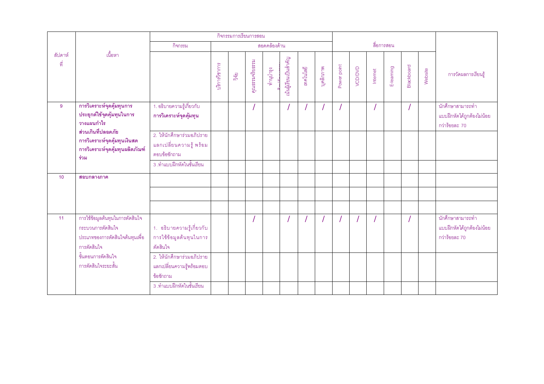|                |                                                                                                        |                                                                      |               | กิจกรรมการเรียนการสอน |                 |              |                       |           |           |             |         |          |            |                   |         |                                                                 |
|----------------|--------------------------------------------------------------------------------------------------------|----------------------------------------------------------------------|---------------|-----------------------|-----------------|--------------|-----------------------|-----------|-----------|-------------|---------|----------|------------|-------------------|---------|-----------------------------------------------------------------|
|                |                                                                                                        | กิจกรรม                                                              |               |                       |                 | สอดคล้องด้าน |                       |           |           |             |         |          | สื่อการสอน |                   |         |                                                                 |
| ลัปดาห์<br>ที่ | เนื้อหา                                                                                                |                                                                      | บริการวิชาการ | วัตุย                 | คุณธรรมจริยธรรม | ทำนูบำรุง    | นั้นผู้เรียนเป็นลำคัญ | เทคโนโลยี | บุคลิกภาพ | Power point | VCD/DVD | Internet | E-learning | <b>Blackboard</b> | Website | การวัดผลการเรียนรู้                                             |
| 9              | การวิเคราะห์จุดคุ้มทุนการ<br>ประยุกต์ใช้จุดคุ้มทุนในการ<br>วางแผนกำไร                                  | 1. อธิบายความรู้เกี่ยวกับ<br>การวิเคราะห์จุดคุ้มทุน                  |               |                       |                 |              |                       |           |           |             |         |          |            |                   |         | นักศึกษาสามารถทำ<br>แบบฝึกหัดได้ถูกต้องไม่น้อย<br>กว่าร้อยละ 70 |
|                | ส่วนเกินที่ปลอดภัย<br>การวิเคราะห์จุดคุ้มทุนเงินสด<br>การวิเคราะห์จุดคุ้มทุนผลิตภัณฑ์<br>ร่วม          | 2. ให้นักศึกษาร่วมอภิปราย<br>แลกเปลี่ยนความรู้ พร้อม<br>ตอบข้อซักถาม |               |                       |                 |              |                       |           |           |             |         |          |            |                   |         |                                                                 |
|                |                                                                                                        | 3 .ทำแบบฝึกหัดในชั้นเรียน                                            |               |                       |                 |              |                       |           |           |             |         |          |            |                   |         |                                                                 |
| 10             | สอบกลางภาค                                                                                             |                                                                      |               |                       |                 |              |                       |           |           |             |         |          |            |                   |         |                                                                 |
|                |                                                                                                        |                                                                      |               |                       |                 |              |                       |           |           |             |         |          |            |                   |         |                                                                 |
|                |                                                                                                        |                                                                      |               |                       |                 |              |                       |           |           |             |         |          |            |                   |         |                                                                 |
| 11             | การใช้ข้อมูลต้นทุนในการตัดสินใจ<br>กระบวนการตัดสินใจ<br>ประเภทของการตัดสินใจต้นทุนเพื่อ<br>การตัดสินใจ | 1. อธิบายความรู้เกี่ยวกับ<br>การใช้ข้อมูลต้นทุนในการ<br>ตัดสินใจ     |               |                       |                 |              |                       |           |           |             |         |          |            |                   |         | นักศึกษาสามารถทำ<br>แบบฝึกหัดได้ถูกต้องไม่น้อย<br>กว่าร้อยละ 70 |
|                | ขั้นตอนการตัดสินใจ<br>าการตัดสินใจระยะสั้น                                                             | 2. ให้นักศึกษาร่วมอภิปราย<br>แลกเปลี่ยนความรู้พร้อมตอบ<br>ข้อซักถาม  |               |                       |                 |              |                       |           |           |             |         |          |            |                   |         |                                                                 |
|                |                                                                                                        | 3 .ทำแบบฝึกหัดในชั้นเรียน                                            |               |                       |                 |              |                       |           |           |             |         |          |            |                   |         |                                                                 |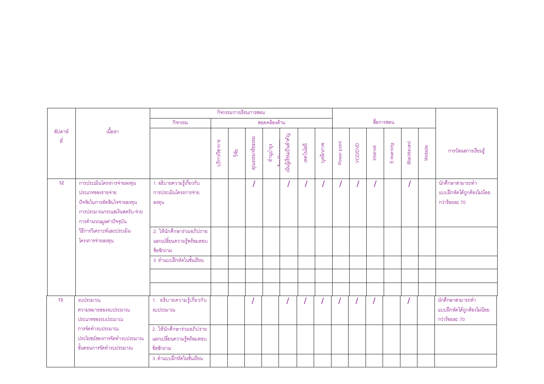|                |                                                                                                                                          |                                                                                                  |               | กิจกรรมการเรียนการสอน |                 |              |                      |           |           |             |         |          |            |                   |         |                                                                 |
|----------------|------------------------------------------------------------------------------------------------------------------------------------------|--------------------------------------------------------------------------------------------------|---------------|-----------------------|-----------------|--------------|----------------------|-----------|-----------|-------------|---------|----------|------------|-------------------|---------|-----------------------------------------------------------------|
|                |                                                                                                                                          | กิจกรรม                                                                                          |               |                       |                 | สอดคล้องด้าน |                      |           |           |             |         |          | สื่อการสอน |                   |         |                                                                 |
| ลัปดาห์<br>ที่ | เนื้อหา                                                                                                                                  |                                                                                                  | ปริการวิชาการ | nas<br>Pué            | คุณธรรมจริยธรรม | ทำนุบำรุง    | นันผู้เรียนเป็นลำคัญ | เทคโนโลยี | บุคลิกภาพ | Power point | VCD/DVD | Internet | E-learning | <b>Blackboard</b> | Website | การวัดผลการเรียนรู้                                             |
| 12             | การประเมินโครงการจ่ายลงทุน<br>ประเภทของรายจ่าย<br>ปัจจัยในการตัดสินใจจ่ายลงทุน<br>การประมาณกระแสเงินสดรับ-จ่าย<br>การคำนวณมูลค่าปัจจุบัน | 1. อธิบายความรู้เกี่ยวกับ<br>การประเมินโครงการจ่าย<br>ลงทุน                                      |               |                       |                 |              |                      |           |           |             |         |          |            |                   |         | นักศึกษาสามารถทำ<br>แบบฝึกหัดได้ถูกต้องไม่น้อย<br>กว่าร้อยละ 70 |
|                | วิธีการวิเคราะห์และประเมิน<br>โครงการจ่ายลงทุน                                                                                           | 2. ให้นักศึกษาร่วมอภิปราย<br>แลกเปลี่ยนความรู้พร้อมตอบ<br>ข้อซักถาม<br>3 .ทำแบบฝึกหัดในชั้นเรียน |               |                       |                 |              |                      |           |           |             |         |          |            |                   |         |                                                                 |
|                |                                                                                                                                          |                                                                                                  |               |                       |                 |              |                      |           |           |             |         |          |            |                   |         |                                                                 |
| 13             | งบประมาณ<br>ความหมายของงบประมาณ<br>ประเภทของงบประมาณ                                                                                     | 1. อธิบายความรู้เกี่ยวกับ<br>งบประมาณ                                                            |               |                       |                 |              |                      |           |           |             |         |          |            |                   |         | นักศึกษาสามารถทำ<br>แบบฝึกหัดได้ถูกต้องไม่น้อย<br>กว่าร้อยละ 70 |
|                | การจัดทำงบประมาณ<br>ประโยชน์ของการจัดทำงบประมาณ<br>ขั้นตอนการจัดทำงบประมาณ                                                               | 2. ให้นักศึกษาร่วมอภิปราย<br>แลกเปลี่ยนความรู้พร้อมตอบ<br>ข้อซักถาม<br>3 .ทำแบบฝึกหัดในชั้นเรียน |               |                       |                 |              |                      |           |           |             |         |          |            |                   |         |                                                                 |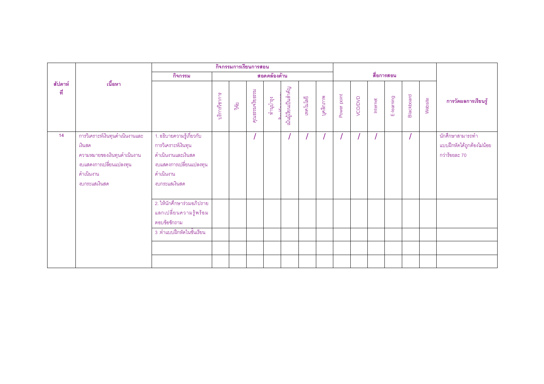|                |                                                                                                                                   |                                                                                                                                 |               |       | กิจกรรมการเรียนการสอน |              |                      |           |           |             |         |          |            |                   |         |                                                                 |
|----------------|-----------------------------------------------------------------------------------------------------------------------------------|---------------------------------------------------------------------------------------------------------------------------------|---------------|-------|-----------------------|--------------|----------------------|-----------|-----------|-------------|---------|----------|------------|-------------------|---------|-----------------------------------------------------------------|
|                |                                                                                                                                   | กิจกรรม                                                                                                                         |               |       |                       | สอดคล้องด้าน |                      |           |           |             |         |          | สื่อการสอน |                   |         |                                                                 |
| สัปดาห์<br>ที่ | เนื้อหา                                                                                                                           |                                                                                                                                 | บริการวิชาการ | วิจัย | คุณธรรมจริยธรรม       | ทำนูบำรุง    | นันผู้เรียนเป็นสำคัญ | เทคโนโลยี | บุคลิกภาพ | Power point | VCD/DVD | Internet | E-learning | <b>Blackboard</b> | Website | การวัดผลการเรียนรู้                                             |
| 14             | การวิเคราะห์เงินทุนดำเนินงานและ<br>เงินสด<br>ความหมายของเงินทุนดำเนินงาน<br>งบแสดงการเปลี่ยนแปลงทุน<br>ดำเนินงาน<br>งบกระแสเงินสด | 1. อธิบายความรู้เกี่ยวกับ<br>การวิเคราะห์เงินทุน<br>ดำเนินงานและเงินสด<br>งบแสดงการเปลี่ยนแปลงทุน<br>ดำเนินงาน<br>งบกระแสเงินสด |               |       |                       |              |                      |           |           |             |         |          |            |                   |         | นักศึกษาสามารถทำ<br>แบบฝึกหัดได้ถูกต้องไม่น้อย<br>กว่าร้อยละ 70 |
|                |                                                                                                                                   | 2. ให้นักศึกษาร่วมอภิปราย<br>แลกเปลี่ยนความรู้พร้อม<br>ตอบข้อซักถาม<br>3 .ทำแบบฝึกหัดในชั้นเรียน                                |               |       |                       |              |                      |           |           |             |         |          |            |                   |         |                                                                 |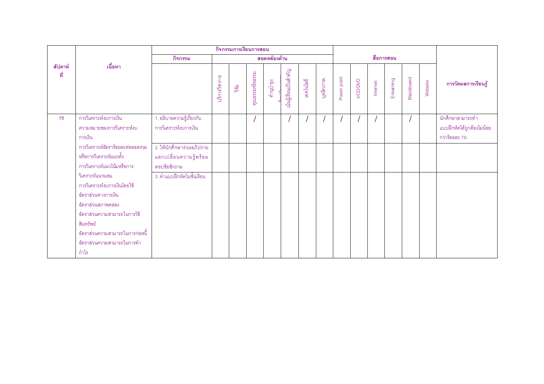|                |                                                                                                                                                                                                                    |                                                                     |               |               | กิจกรรมการเรียนการสอน |              |                      |           |           |             |         |          |            |            |         |                                                                 |
|----------------|--------------------------------------------------------------------------------------------------------------------------------------------------------------------------------------------------------------------|---------------------------------------------------------------------|---------------|---------------|-----------------------|--------------|----------------------|-----------|-----------|-------------|---------|----------|------------|------------|---------|-----------------------------------------------------------------|
|                |                                                                                                                                                                                                                    | กิจกรรม                                                             |               |               |                       | สอดคล้องด้าน |                      |           |           |             |         |          | สื่อการสอน |            |         |                                                                 |
| สัปดาห์<br>ที่ | เนื้อหา                                                                                                                                                                                                            |                                                                     | บริการวิชาการ | $\frac{1}{9}$ | คุณธรรมจริยธรรม       | ทำนูบำรุง    | ้นนผู้เรียนเป็นสำคัญ | เทคโนโลยี | บุคลิกภาพ | Power point | VCD/DVD | Internet | E-learning | Blackboard | Website | การวัดผลการเรียนรู้                                             |
| 15             | การวิเคราะห์งบการเงิน<br>ความหมายของการวิเคราะห์งบ<br>การเงิน                                                                                                                                                      | 1. อธิบายความรู้เกี่ยวกับ<br>การวิเคราะห์งบการเงิน                  |               |               |                       |              |                      |           |           |             |         |          |            |            |         | นักศึกษาสามารถทำ<br>แบบฝึกหัดได้ถูกต้องไม่น้อย<br>กว่าร้อยละ 70 |
|                | การวิเคราะห์อัตราร้อยละต่อยอดรวม<br>หรือการวิเคราะห์แนวตั้ง<br>การวิเคราะห์แนวโน้มหรือการ                                                                                                                          | 2. ให้นักศึกษาร่วมอภิปราย<br>แลกเปลี่ยนความรู้พร้อม<br>ตอบข้อซักถาม |               |               |                       |              |                      |           |           |             |         |          |            |            |         |                                                                 |
|                | วิเคราะห์แนวนอน<br>การวิเคราะห์งบการเงินโดยใช้<br>อัตราส่วนทางการเงิน<br>อัตราส่วนสภาพคล่อง<br>อัตราส่วนความสามารถในการใช้<br>สินทรัพย์<br>้ อัตราส่วนความสามารถในการก่อหนี้<br>อัตราส่วนความสามารถในการทำ<br>กำไร | 3 .ทำแบบฝึกหัดในชั้นเรียน                                           |               |               |                       |              |                      |           |           |             |         |          |            |            |         |                                                                 |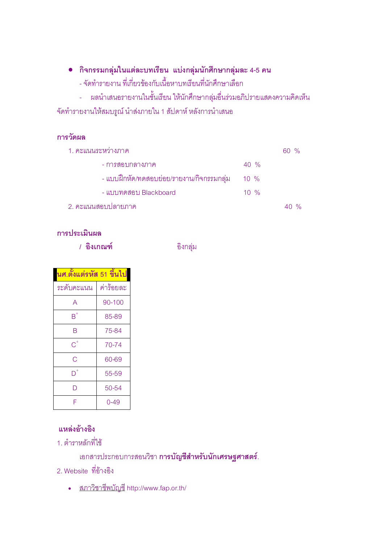- กิจกรรมกลุ่มในแต่ละบทเรียน แบ่งกลุ่มนักศึกษากลุ่มละ 4-5 คน
	- จัดทำรายงาน ที่เกี่ยวข้องกับเนื้อหาบทเรียนที่นักศึกษาเลือก
- ผลนำเสนอรายงานในชั้นเรียน ให้นักศึกษากลุ่มอื่นร่วมอภิปรายแสดงความคิดเห็น จัดทำรายงานให้สมบรูณ์ นำส่งภายใน 1 สัปดาห์ หลังการนำเสนอ

#### การวัดผล

| 1. คะแนนระหว่างภาค                        |                  | $60\%$ |
|-------------------------------------------|------------------|--------|
| - การสอบกลางภาค                           | $40\%$           |        |
| - แบบฝึกหัด/ทดสอบย่อย/รายงาน/กิจกรรมกลุ่ม | $10 \frac{9}{6}$ |        |
| - แบบทดสอบ Blackboard                     | $10 \frac{9}{6}$ |        |
| ่ 2. คะแนนสอบปลายภาค                      |                  |        |

#### การประเมินผล

/ อิงเกณฑ์

อิงกลุ่ม

| นศ.ตั้งแต่รหัส 51 ขึ้นไป  |           |
|---------------------------|-----------|
| ระดับคะแนน                | ค่าร้อยละ |
| A                         | 90-100    |
| $\overline{\mathsf{B}}^*$ | 85-89     |
| R                         | 75-84     |
| $\overline{\text{C}}^{*}$ | 70-74     |
| Ć                         | 60-69     |
|                           | 55-59     |
| D                         | 50-54     |
| F                         | 0-49      |

## แหล่งค้างคิง

1. ตำราหลักที่ใช้

เอกสารประกอบการสอนวิชา <mark>การบัญชีสำหรับนักเศรษฐศาสตร์</mark>.

- 2. Website ที่อ้างอิง
	- <u>สภาวิชาชีพบัญชี</u> http://www.fap.or.th/